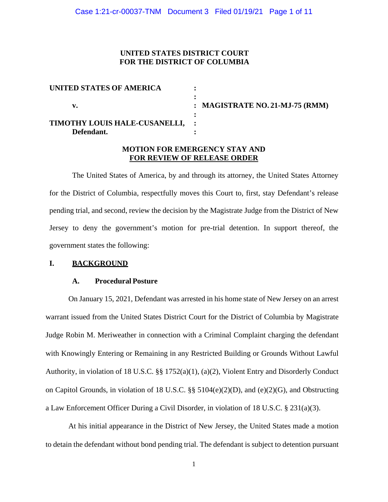# **UNITED STATES DISTRICT COURT FOR THE DISTRICT OF COLUMBIA**

| UNITED STATES OF AMERICA        |                                 |
|---------------------------------|---------------------------------|
|                                 | : MAGISTRATE NO. 21-MJ-75 (RMM) |
| TIMOTHY LOUIS HALE-CUSANELLI, : |                                 |
| Defendant.                      |                                 |

# **MOTION FOR EMERGENCY STAY AND FOR REVIEW OF RELEASE ORDER**

The United States of America, by and through its attorney, the United States Attorney for the District of Columbia, respectfully moves this Court to, first, stay Defendant's release pending trial, and second, review the decision by the Magistrate Judge from the District of New Jersey to deny the government's motion for pre-trial detention. In support thereof, the government states the following:

## **I. BACKGROUND**

## **A. Procedural Posture**

On January 15, 2021, Defendant was arrested in his home state of New Jersey on an arrest warrant issued from the United States District Court for the District of Columbia by Magistrate Judge Robin M. Meriweather in connection with a Criminal Complaint charging the defendant with Knowingly Entering or Remaining in any Restricted Building or Grounds Without Lawful Authority, in violation of 18 U.S.C. §§ 1752(a)(1), (a)(2), Violent Entry and Disorderly Conduct on Capitol Grounds, in violation of 18 U.S.C. §§ 5104(e)(2)(D), and (e)(2)(G), and Obstructing a Law Enforcement Officer During a Civil Disorder, in violation of 18 U.S.C. § 231(a)(3).

At his initial appearance in the District of New Jersey, the United States made a motion to detain the defendant without bond pending trial. The defendant is subject to detention pursuant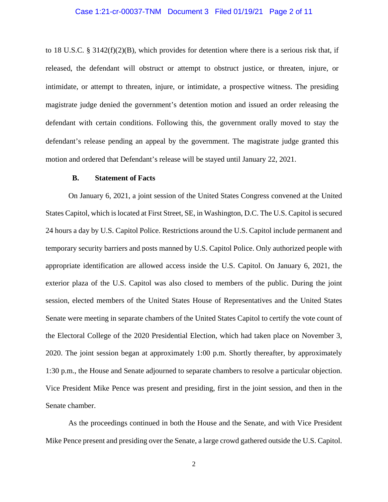## Case 1:21-cr-00037-TNM Document 3 Filed 01/19/21 Page 2 of 11

to 18 U.S.C. § 3142(f)(2)(B), which provides for detention where there is a serious risk that, if released, the defendant will obstruct or attempt to obstruct justice, or threaten, injure, or intimidate, or attempt to threaten, injure, or intimidate, a prospective witness. The presiding magistrate judge denied the government's detention motion and issued an order releasing the defendant with certain conditions. Following this, the government orally moved to stay the defendant's release pending an appeal by the government. The magistrate judge granted this motion and ordered that Defendant's release will be stayed until January 22, 2021.

## **B. Statement of Facts**

On January 6, 2021, a joint session of the United States Congress convened at the United States Capitol, which is located at First Street, SE, in Washington, D.C. The U.S. Capitol is secured 24 hours a day by U.S. Capitol Police. Restrictions around the U.S. Capitol include permanent and temporary security barriers and posts manned by U.S. Capitol Police. Only authorized people with appropriate identification are allowed access inside the U.S. Capitol. On January 6, 2021, the exterior plaza of the U.S. Capitol was also closed to members of the public. During the joint session, elected members of the United States House of Representatives and the United States Senate were meeting in separate chambers of the United States Capitol to certify the vote count of the Electoral College of the 2020 Presidential Election, which had taken place on November 3, 2020. The joint session began at approximately 1:00 p.m. Shortly thereafter, by approximately 1:30 p.m., the House and Senate adjourned to separate chambers to resolve a particular objection. Vice President Mike Pence was present and presiding, first in the joint session, and then in the Senate chamber.

As the proceedings continued in both the House and the Senate, and with Vice President Mike Pence present and presiding over the Senate, a large crowd gathered outside the U.S. Capitol.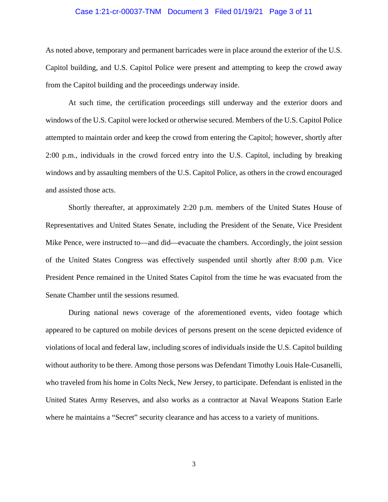## Case 1:21-cr-00037-TNM Document 3 Filed 01/19/21 Page 3 of 11

As noted above, temporary and permanent barricades were in place around the exterior of the U.S. Capitol building, and U.S. Capitol Police were present and attempting to keep the crowd away from the Capitol building and the proceedings underway inside.

At such time, the certification proceedings still underway and the exterior doors and windows of the U.S. Capitol were locked or otherwise secured. Members of the U.S. Capitol Police attempted to maintain order and keep the crowd from entering the Capitol; however, shortly after 2:00 p.m., individuals in the crowd forced entry into the U.S. Capitol, including by breaking windows and by assaulting members of the U.S. Capitol Police, as others in the crowd encouraged and assisted those acts.

Shortly thereafter, at approximately 2:20 p.m. members of the United States House of Representatives and United States Senate, including the President of the Senate, Vice President Mike Pence, were instructed to—and did—evacuate the chambers. Accordingly, the joint session of the United States Congress was effectively suspended until shortly after 8:00 p.m. Vice President Pence remained in the United States Capitol from the time he was evacuated from the Senate Chamber until the sessions resumed.

During national news coverage of the aforementioned events, video footage which appeared to be captured on mobile devices of persons present on the scene depicted evidence of violations of local and federal law, including scores of individuals inside the U.S. Capitol building without authority to be there. Among those persons was Defendant Timothy Louis Hale-Cusanelli, who traveled from his home in Colts Neck, New Jersey, to participate. Defendant is enlisted in the United States Army Reserves, and also works as a contractor at Naval Weapons Station Earle where he maintains a "Secret" security clearance and has access to a variety of munitions.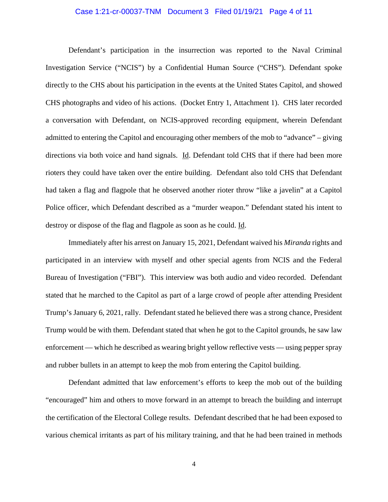## Case 1:21-cr-00037-TNM Document 3 Filed 01/19/21 Page 4 of 11

Defendant's participation in the insurrection was reported to the Naval Criminal Investigation Service ("NCIS") by a Confidential Human Source ("CHS"). Defendant spoke directly to the CHS about his participation in the events at the United States Capitol, and showed CHS photographs and video of his actions. (Docket Entry 1, Attachment 1). CHS later recorded a conversation with Defendant, on NCIS-approved recording equipment, wherein Defendant admitted to entering the Capitol and encouraging other members of the mob to "advance" – giving directions via both voice and hand signals. Id. Defendant told CHS that if there had been more rioters they could have taken over the entire building. Defendant also told CHS that Defendant had taken a flag and flagpole that he observed another rioter throw "like a javelin" at a Capitol Police officer, which Defendant described as a "murder weapon." Defendant stated his intent to destroy or dispose of the flag and flagpole as soon as he could. Id.

Immediately after his arrest on January 15, 2021, Defendant waived his *Miranda* rights and participated in an interview with myself and other special agents from NCIS and the Federal Bureau of Investigation ("FBI"). This interview was both audio and video recorded. Defendant stated that he marched to the Capitol as part of a large crowd of people after attending President Trump's January 6, 2021, rally. Defendant stated he believed there was a strong chance, President Trump would be with them. Defendant stated that when he got to the Capitol grounds, he saw law enforcement — which he described as wearing bright yellow reflective vests — using pepper spray and rubber bullets in an attempt to keep the mob from entering the Capitol building.

Defendant admitted that law enforcement's efforts to keep the mob out of the building "encouraged" him and others to move forward in an attempt to breach the building and interrupt the certification of the Electoral College results. Defendant described that he had been exposed to various chemical irritants as part of his military training, and that he had been trained in methods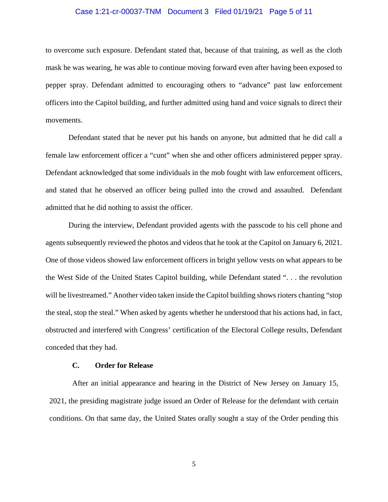## Case 1:21-cr-00037-TNM Document 3 Filed 01/19/21 Page 5 of 11

to overcome such exposure. Defendant stated that, because of that training, as well as the cloth mask he was wearing, he was able to continue moving forward even after having been exposed to pepper spray. Defendant admitted to encouraging others to "advance" past law enforcement officers into the Capitol building, and further admitted using hand and voice signals to direct their movements.

Defendant stated that he never put his hands on anyone, but admitted that he did call a female law enforcement officer a "cunt" when she and other officers administered pepper spray. Defendant acknowledged that some individuals in the mob fought with law enforcement officers, and stated that he observed an officer being pulled into the crowd and assaulted. Defendant admitted that he did nothing to assist the officer.

During the interview, Defendant provided agents with the passcode to his cell phone and agents subsequently reviewed the photos and videos that he took at the Capitol on January 6, 2021. One of those videos showed law enforcement officers in bright yellow vests on what appears to be the West Side of the United States Capitol building, while Defendant stated ". . . the revolution will be livestreamed." Another video taken inside the Capitol building shows rioters chanting "stop the steal, stop the steal." When asked by agents whether he understood that his actions had, in fact, obstructed and interfered with Congress' certification of the Electoral College results, Defendant conceded that they had.

## **C. Order for Release**

After an initial appearance and hearing in the District of New Jersey on January 15, 2021, the presiding magistrate judge issued an Order of Release for the defendant with certain conditions. On that same day, the United States orally sought a stay of the Order pending this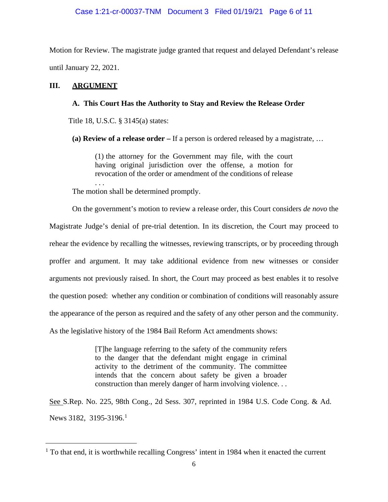## Case 1:21-cr-00037-TNM Document 3 Filed 01/19/21 Page 6 of 11

Motion for Review. The magistrate judge granted that request and delayed Defendant's release until January 22, 2021.

# **III. ARGUMENT**

 $\overline{a}$ 

## **A. This Court Has the Authority to Stay and Review the Release Order**

Title 18, U.S.C. § 3145(a) states:

**(a) Review of a release order –** If a person is ordered released by a magistrate, …

(1) the attorney for the Government may file, with the court having original jurisdiction over the offense, a motion for revocation of the order or amendment of the conditions of release . . .

The motion shall be determined promptly.

On the government's motion to review a release order, this Court considers *de novo* the Magistrate Judge's denial of pre-trial detention. In its discretion, the Court may proceed to rehear the evidence by recalling the witnesses, reviewing transcripts, or by proceeding through proffer and argument. It may take additional evidence from new witnesses or consider arguments not previously raised. In short, the Court may proceed as best enables it to resolve the question posed: whether any condition or combination of conditions will reasonably assure the appearance of the person as required and the safety of any other person and the community. As the legislative history of the 1984 Bail Reform Act amendments shows:

> [T]he language referring to the safety of the community refers to the danger that the defendant might engage in criminal activity to the detriment of the community. The committee intends that the concern about safety be given a broader construction than merely danger of harm involving violence. . .

See S.Rep. No. 225, 98th Cong., 2d Sess. 307, reprinted in 1984 U.S. Code Cong. & Ad. News 3182, 3195-3196.<sup>1</sup>

 $<sup>1</sup>$  To that end, it is worthwhile recalling Congress' intent in 1984 when it enacted the current</sup>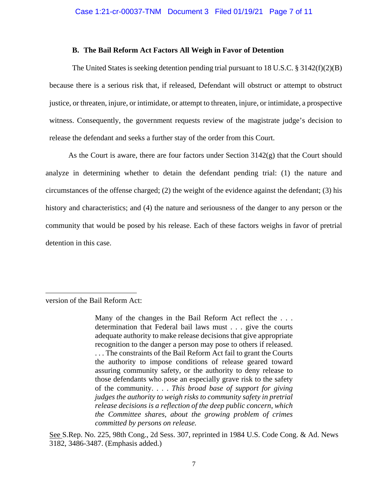#### **B. The Bail Reform Act Factors All Weigh in Favor of Detention**

The United States is seeking detention pending trial pursuant to 18 U.S.C.  $\S 3142(f)(2)(B)$ because there is a serious risk that, if released, Defendant will obstruct or attempt to obstruct justice, or threaten, injure, or intimidate, or attempt to threaten, injure, or intimidate, a prospective witness. Consequently, the government requests review of the magistrate judge's decision to release the defendant and seeks a further stay of the order from this Court.

As the Court is aware, there are four factors under Section  $3142(g)$  that the Court should analyze in determining whether to detain the defendant pending trial: (1) the nature and circumstances of the offense charged; (2) the weight of the evidence against the defendant; (3) his history and characteristics; and (4) the nature and seriousness of the danger to any person or the community that would be posed by his release. Each of these factors weighs in favor of pretrial detention in this case.

version of the Bail Reform Act:

 $\overline{a}$ 

Many of the changes in the Bail Reform Act reflect the . . . determination that Federal bail laws must . . . give the courts adequate authority to make release decisions that give appropriate recognition to the danger a person may pose to others if released. . . . The constraints of the Bail Reform Act fail to grant the Courts the authority to impose conditions of release geared toward assuring community safety, or the authority to deny release to those defendants who pose an especially grave risk to the safety of the community. . . . *This broad base of support for giving judges the authority to weigh risks to community safety in pretrial release decisions is a reflection of the deep public concern, which the Committee shares, about the growing problem of crimes committed by persons on release.*

See S.Rep. No. 225, 98th Cong., 2d Sess. 307, reprinted in 1984 U.S. Code Cong. & Ad. News 3182, 3486-3487. (Emphasis added.)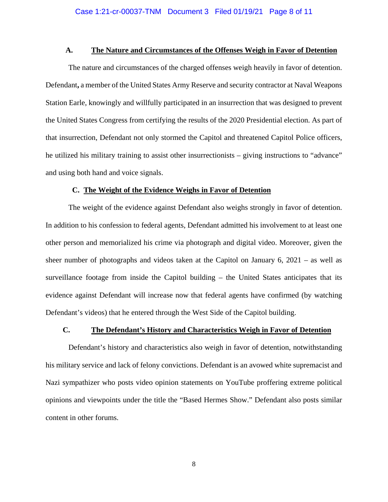#### **A. The Nature and Circumstances of the Offenses Weigh in Favor of Detention**

The nature and circumstances of the charged offenses weigh heavily in favor of detention. Defendant**,** a member of the United States Army Reserve and security contractor at Naval Weapons Station Earle, knowingly and willfully participated in an insurrection that was designed to prevent the United States Congress from certifying the results of the 2020 Presidential election. As part of that insurrection, Defendant not only stormed the Capitol and threatened Capitol Police officers, he utilized his military training to assist other insurrectionists – giving instructions to "advance" and using both hand and voice signals.

#### **C. The Weight of the Evidence Weighs in Favor of Detention**

The weight of the evidence against Defendant also weighs strongly in favor of detention. In addition to his confession to federal agents, Defendant admitted his involvement to at least one other person and memorialized his crime via photograph and digital video. Moreover, given the sheer number of photographs and videos taken at the Capitol on January 6, 2021 – as well as surveillance footage from inside the Capitol building – the United States anticipates that its evidence against Defendant will increase now that federal agents have confirmed (by watching Defendant's videos) that he entered through the West Side of the Capitol building.

## **C. The Defendant's History and Characteristics Weigh in Favor of Detention**

Defendant's history and characteristics also weigh in favor of detention, notwithstanding his military service and lack of felony convictions. Defendant is an avowed white supremacist and Nazi sympathizer who posts video opinion statements on YouTube proffering extreme political opinions and viewpoints under the title the "Based Hermes Show." Defendant also posts similar content in other forums.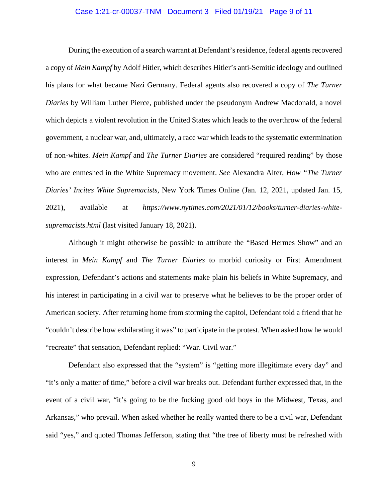## Case 1:21-cr-00037-TNM Document 3 Filed 01/19/21 Page 9 of 11

During the execution of a search warrant at Defendant's residence, federal agents recovered a copy of *Mein Kampf* by Adolf Hitler, which describes Hitler's anti-Semitic ideology and outlined his plans for what became Nazi Germany. Federal agents also recovered a copy of *The Turner Diaries* by William Luther Pierce, published under the pseudonym Andrew Macdonald, a novel which depicts a violent revolution in the United States which leads to the overthrow of the federal government, a nuclear war, and, ultimately, a race war which leads to the systematic extermination of non-whites. *Mein Kampf* and *The Turner Diaries* are considered "required reading" by those who are enmeshed in the White Supremacy movement. *See* Alexandra Alter, *How "The Turner Diaries' Incites White Supremacists*, New York Times Online (Jan. 12, 2021, updated Jan. 15, 2021), available at *https://www.nytimes.com/2021/01/12/books/turner-diaries-whitesupremacists.html* (last visited January 18, 2021).

Although it might otherwise be possible to attribute the "Based Hermes Show" and an interest in *Mein Kampf* and *The Turner Diaries* to morbid curiosity or First Amendment expression, Defendant's actions and statements make plain his beliefs in White Supremacy, and his interest in participating in a civil war to preserve what he believes to be the proper order of American society. After returning home from storming the capitol, Defendant told a friend that he "couldn't describe how exhilarating it was" to participate in the protest. When asked how he would "recreate" that sensation, Defendant replied: "War. Civil war."

Defendant also expressed that the "system" is "getting more illegitimate every day" and "it's only a matter of time," before a civil war breaks out. Defendant further expressed that, in the event of a civil war, "it's going to be the fucking good old boys in the Midwest, Texas, and Arkansas," who prevail. When asked whether he really wanted there to be a civil war, Defendant said "yes," and quoted Thomas Jefferson, stating that "the tree of liberty must be refreshed with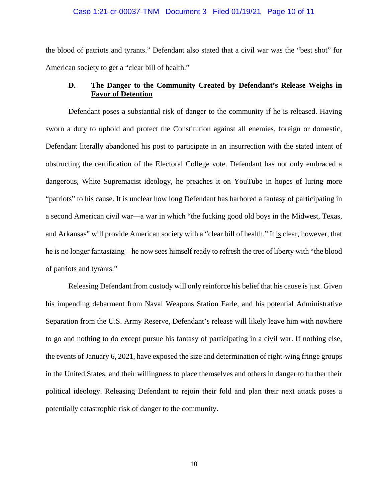## Case 1:21-cr-00037-TNM Document 3 Filed 01/19/21 Page 10 of 11

the blood of patriots and tyrants." Defendant also stated that a civil war was the "best shot" for American society to get a "clear bill of health."

# **D. The Danger to the Community Created by Defendant's Release Weighs in Favor of Detention**

Defendant poses a substantial risk of danger to the community if he is released. Having sworn a duty to uphold and protect the Constitution against all enemies, foreign or domestic, Defendant literally abandoned his post to participate in an insurrection with the stated intent of obstructing the certification of the Electoral College vote. Defendant has not only embraced a dangerous, White Supremacist ideology, he preaches it on YouTube in hopes of luring more "patriots" to his cause. It is unclear how long Defendant has harbored a fantasy of participating in a second American civil war—a war in which "the fucking good old boys in the Midwest, Texas, and Arkansas" will provide American society with a "clear bill of health." It is clear, however, that he is no longer fantasizing – he now sees himself ready to refresh the tree of liberty with "the blood of patriots and tyrants."

Releasing Defendant from custody will only reinforce his belief that his cause is just. Given his impending debarment from Naval Weapons Station Earle, and his potential Administrative Separation from the U.S. Army Reserve, Defendant's release will likely leave him with nowhere to go and nothing to do except pursue his fantasy of participating in a civil war. If nothing else, the events of January 6, 2021, have exposed the size and determination of right-wing fringe groups in the United States, and their willingness to place themselves and others in danger to further their political ideology. Releasing Defendant to rejoin their fold and plan their next attack poses a potentially catastrophic risk of danger to the community.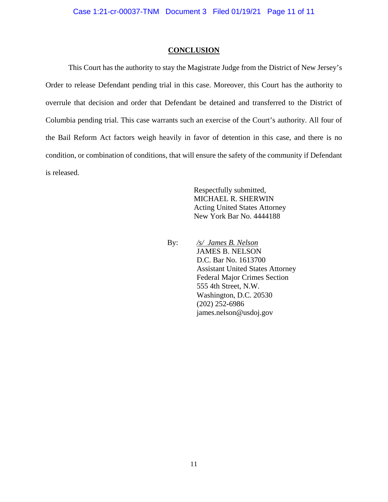#### **CONCLUSION**

This Court has the authority to stay the Magistrate Judge from the District of New Jersey's Order to release Defendant pending trial in this case. Moreover, this Court has the authority to overrule that decision and order that Defendant be detained and transferred to the District of Columbia pending trial. This case warrants such an exercise of the Court's authority. All four of the Bail Reform Act factors weigh heavily in favor of detention in this case, and there is no condition, or combination of conditions, that will ensure the safety of the community if Defendant is released.

> Respectfully submitted, MICHAEL R. SHERWIN Acting United States Attorney New York Bar No. 4444188

 By: */s/ James B. Nelson* JAMES B. NELSON D.C. Bar No. 1613700 Assistant United States Attorney Federal Major Crimes Section 555 4th Street, N.W. Washington, D.C. 20530 (202) 252**-**6986 james.nelson@usdoj.gov